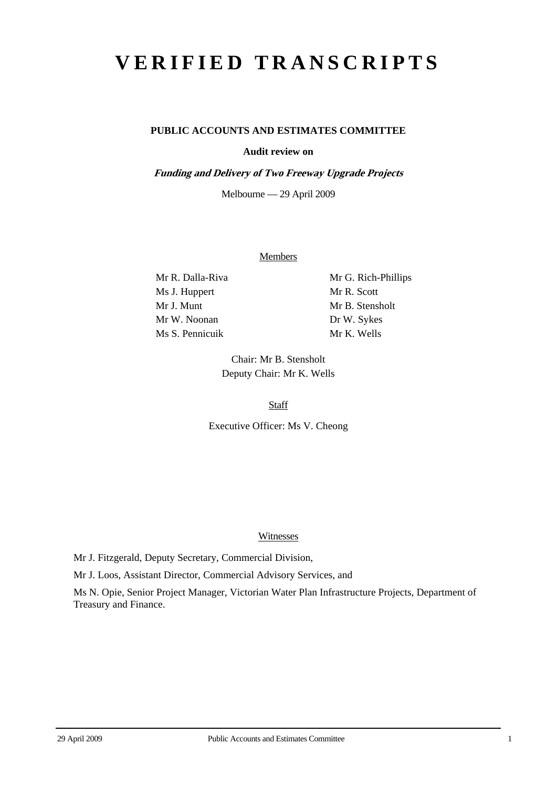# **VERIFIED TRANSCRIPTS**

## **PUBLIC ACCOUNTS AND ESTIMATES COMMITTEE**

#### **Audit review on**

**Funding and Delivery of Two Freeway Upgrade Projects** 

Melbourne — 29 April 2009

#### Members

Ms J. Huppert Mr R. Scott Mr J. Munt Mr B. Stensholt Mr W. Noonan Dr W. Sykes Ms S. Pennicuik Mr K. Wells

Mr R. Dalla-Riva Mr G. Rich-Phillips

Chair: Mr B. Stensholt Deputy Chair: Mr K. Wells

**Staff** 

Executive Officer: Ms V. Cheong

#### Witnesses

Mr J. Fitzgerald, Deputy Secretary, Commercial Division,

Mr J. Loos, Assistant Director, Commercial Advisory Services, and

Ms N. Opie, Senior Project Manager, Victorian Water Plan Infrastructure Projects, Department of Treasury and Finance.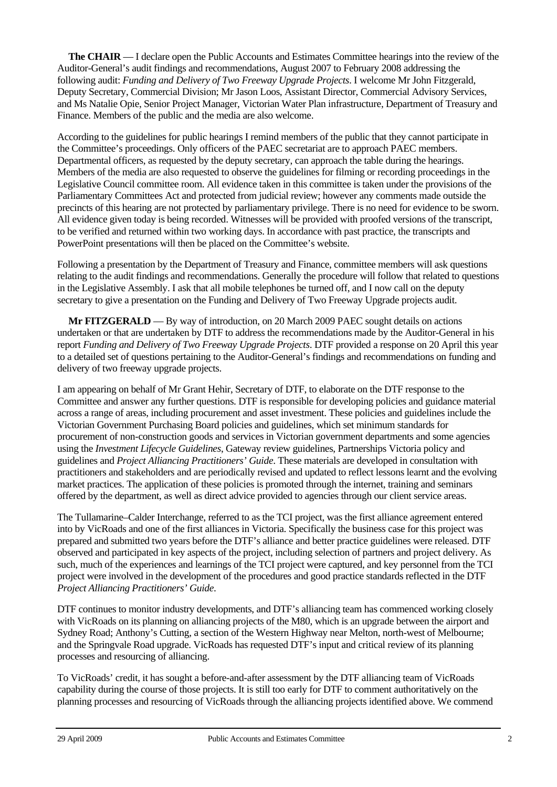**The CHAIR** — I declare open the Public Accounts and Estimates Committee hearings into the review of the Auditor-General's audit findings and recommendations, August 2007 to February 2008 addressing the following audit: *Funding and Delivery of Two Freeway Upgrade Projects*. I welcome Mr John Fitzgerald, Deputy Secretary, Commercial Division; Mr Jason Loos, Assistant Director, Commercial Advisory Services, and Ms Natalie Opie, Senior Project Manager, Victorian Water Plan infrastructure, Department of Treasury and Finance. Members of the public and the media are also welcome.

According to the guidelines for public hearings I remind members of the public that they cannot participate in the Committee's proceedings. Only officers of the PAEC secretariat are to approach PAEC members. Departmental officers, as requested by the deputy secretary, can approach the table during the hearings. Members of the media are also requested to observe the guidelines for filming or recording proceedings in the Legislative Council committee room. All evidence taken in this committee is taken under the provisions of the Parliamentary Committees Act and protected from judicial review; however any comments made outside the precincts of this hearing are not protected by parliamentary privilege. There is no need for evidence to be sworn. All evidence given today is being recorded. Witnesses will be provided with proofed versions of the transcript, to be verified and returned within two working days. In accordance with past practice, the transcripts and PowerPoint presentations will then be placed on the Committee's website.

Following a presentation by the Department of Treasury and Finance, committee members will ask questions relating to the audit findings and recommendations. Generally the procedure will follow that related to questions in the Legislative Assembly. I ask that all mobile telephones be turned off, and I now call on the deputy secretary to give a presentation on the Funding and Delivery of Two Freeway Upgrade projects audit.

**Mr FITZGERALD** — By way of introduction, on 20 March 2009 PAEC sought details on actions undertaken or that are undertaken by DTF to address the recommendations made by the Auditor-General in his report *Funding and Delivery of Two Freeway Upgrade Projects*. DTF provided a response on 20 April this year to a detailed set of questions pertaining to the Auditor-General's findings and recommendations on funding and delivery of two freeway upgrade projects.

I am appearing on behalf of Mr Grant Hehir, Secretary of DTF, to elaborate on the DTF response to the Committee and answer any further questions. DTF is responsible for developing policies and guidance material across a range of areas, including procurement and asset investment. These policies and guidelines include the Victorian Government Purchasing Board policies and guidelines, which set minimum standards for procurement of non-construction goods and services in Victorian government departments and some agencies using the *Investment Lifecycle Guidelines*, Gateway review guidelines, Partnerships Victoria policy and guidelines and *Project Alliancing Practitioners' Guide*. These materials are developed in consultation with practitioners and stakeholders and are periodically revised and updated to reflect lessons learnt and the evolving market practices. The application of these policies is promoted through the internet, training and seminars offered by the department, as well as direct advice provided to agencies through our client service areas.

The Tullamarine–Calder Interchange, referred to as the TCI project, was the first alliance agreement entered into by VicRoads and one of the first alliances in Victoria. Specifically the business case for this project was prepared and submitted two years before the DTF's alliance and better practice guidelines were released. DTF observed and participated in key aspects of the project, including selection of partners and project delivery. As such, much of the experiences and learnings of the TCI project were captured, and key personnel from the TCI project were involved in the development of the procedures and good practice standards reflected in the DTF *Project Alliancing Practitioners' Guide*.

DTF continues to monitor industry developments, and DTF's alliancing team has commenced working closely with VicRoads on its planning on alliancing projects of the M80, which is an upgrade between the airport and Sydney Road; Anthony's Cutting, a section of the Western Highway near Melton, north-west of Melbourne; and the Springvale Road upgrade. VicRoads has requested DTF's input and critical review of its planning processes and resourcing of alliancing.

To VicRoads' credit, it has sought a before-and-after assessment by the DTF alliancing team of VicRoads capability during the course of those projects. It is still too early for DTF to comment authoritatively on the planning processes and resourcing of VicRoads through the alliancing projects identified above. We commend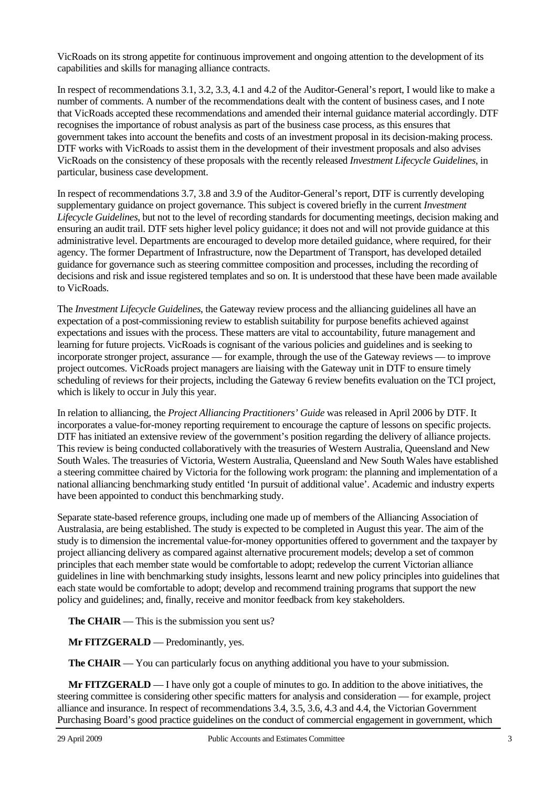VicRoads on its strong appetite for continuous improvement and ongoing attention to the development of its capabilities and skills for managing alliance contracts.

In respect of recommendations 3.1, 3.2, 3.3, 4.1 and 4.2 of the Auditor-General's report, I would like to make a number of comments. A number of the recommendations dealt with the content of business cases, and I note that VicRoads accepted these recommendations and amended their internal guidance material accordingly. DTF recognises the importance of robust analysis as part of the business case process, as this ensures that government takes into account the benefits and costs of an investment proposal in its decision-making process. DTF works with VicRoads to assist them in the development of their investment proposals and also advises VicRoads on the consistency of these proposals with the recently released *Investment Lifecycle Guidelines*, in particular, business case development.

In respect of recommendations 3.7, 3.8 and 3.9 of the Auditor-General's report, DTF is currently developing supplementary guidance on project governance. This subject is covered briefly in the current *Investment Lifecycle Guidelines*, but not to the level of recording standards for documenting meetings, decision making and ensuring an audit trail. DTF sets higher level policy guidance; it does not and will not provide guidance at this administrative level. Departments are encouraged to develop more detailed guidance, where required, for their agency. The former Department of Infrastructure, now the Department of Transport, has developed detailed guidance for governance such as steering committee composition and processes, including the recording of decisions and risk and issue registered templates and so on. It is understood that these have been made available to VicRoads.

The *Investment Lifecycle Guidelines*, the Gateway review process and the alliancing guidelines all have an expectation of a post-commissioning review to establish suitability for purpose benefits achieved against expectations and issues with the process. These matters are vital to accountability, future management and learning for future projects. VicRoads is cognisant of the various policies and guidelines and is seeking to incorporate stronger project, assurance — for example, through the use of the Gateway reviews — to improve project outcomes. VicRoads project managers are liaising with the Gateway unit in DTF to ensure timely scheduling of reviews for their projects, including the Gateway 6 review benefits evaluation on the TCI project, which is likely to occur in July this year.

In relation to alliancing, the *Project Alliancing Practitioners' Guide* was released in April 2006 by DTF. It incorporates a value-for-money reporting requirement to encourage the capture of lessons on specific projects. DTF has initiated an extensive review of the government's position regarding the delivery of alliance projects. This review is being conducted collaboratively with the treasuries of Western Australia, Queensland and New South Wales. The treasuries of Victoria, Western Australia, Queensland and New South Wales have established a steering committee chaired by Victoria for the following work program: the planning and implementation of a national alliancing benchmarking study entitled 'In pursuit of additional value'. Academic and industry experts have been appointed to conduct this benchmarking study.

Separate state-based reference groups, including one made up of members of the Alliancing Association of Australasia, are being established. The study is expected to be completed in August this year. The aim of the study is to dimension the incremental value-for-money opportunities offered to government and the taxpayer by project alliancing delivery as compared against alternative procurement models; develop a set of common principles that each member state would be comfortable to adopt; redevelop the current Victorian alliance guidelines in line with benchmarking study insights, lessons learnt and new policy principles into guidelines that each state would be comfortable to adopt; develop and recommend training programs that support the new policy and guidelines; and, finally, receive and monitor feedback from key stakeholders.

**The CHAIR** — This is the submission you sent us?

**Mr FITZGERALD** — Predominantly, yes.

**The CHAIR** — You can particularly focus on anything additional you have to your submission.

**Mr FITZGERALD** — I have only got a couple of minutes to go. In addition to the above initiatives, the steering committee is considering other specific matters for analysis and consideration — for example, project alliance and insurance. In respect of recommendations 3.4, 3.5, 3.6, 4.3 and 4.4, the Victorian Government Purchasing Board's good practice guidelines on the conduct of commercial engagement in government, which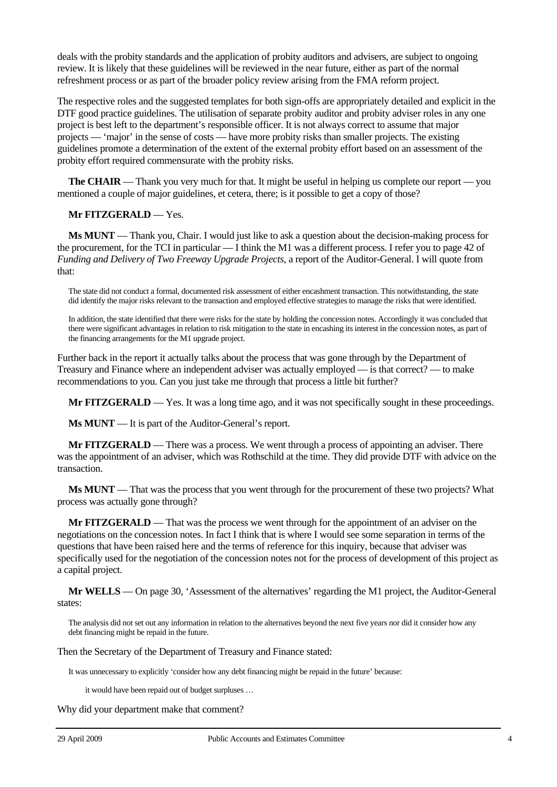deals with the probity standards and the application of probity auditors and advisers, are subject to ongoing review. It is likely that these guidelines will be reviewed in the near future, either as part of the normal refreshment process or as part of the broader policy review arising from the FMA reform project.

The respective roles and the suggested templates for both sign-offs are appropriately detailed and explicit in the DTF good practice guidelines. The utilisation of separate probity auditor and probity adviser roles in any one project is best left to the department's responsible officer. It is not always correct to assume that major projects — 'major' in the sense of costs — have more probity risks than smaller projects. The existing guidelines promote a determination of the extent of the external probity effort based on an assessment of the probity effort required commensurate with the probity risks.

**The CHAIR** — Thank you very much for that. It might be useful in helping us complete our report — you mentioned a couple of major guidelines, et cetera, there; is it possible to get a copy of those?

#### **Mr FITZGERALD** — Yes.

**Ms MUNT** — Thank you, Chair. I would just like to ask a question about the decision-making process for the procurement, for the TCI in particular — I think the M1 was a different process. I refer you to page 42 of *Funding and Delivery of Two Freeway Upgrade Projects*, a report of the Auditor-General. I will quote from that:

The state did not conduct a formal, documented risk assessment of either encashment transaction. This notwithstanding, the state did identify the major risks relevant to the transaction and employed effective strategies to manage the risks that were identified.

In addition, the state identified that there were risks for the state by holding the concession notes. Accordingly it was concluded that there were significant advantages in relation to risk mitigation to the state in encashing its interest in the concession notes, as part of the financing arrangements for the M1 upgrade project.

Further back in the report it actually talks about the process that was gone through by the Department of Treasury and Finance where an independent adviser was actually employed — is that correct? — to make recommendations to you. Can you just take me through that process a little bit further?

**Mr FITZGERALD** — Yes. It was a long time ago, and it was not specifically sought in these proceedings.

**Ms MUNT** — It is part of the Auditor-General's report.

**Mr FITZGERALD** — There was a process. We went through a process of appointing an adviser. There was the appointment of an adviser, which was Rothschild at the time. They did provide DTF with advice on the transaction.

**Ms MUNT** — That was the process that you went through for the procurement of these two projects? What process was actually gone through?

**Mr FITZGERALD** — That was the process we went through for the appointment of an adviser on the negotiations on the concession notes. In fact I think that is where I would see some separation in terms of the questions that have been raised here and the terms of reference for this inquiry, because that adviser was specifically used for the negotiation of the concession notes not for the process of development of this project as a capital project.

**Mr WELLS** — On page 30, 'Assessment of the alternatives' regarding the M1 project, the Auditor-General states:

The analysis did not set out any information in relation to the alternatives beyond the next five years nor did it consider how any debt financing might be repaid in the future.

Then the Secretary of the Department of Treasury and Finance stated:

It was unnecessary to explicitly 'consider how any debt financing might be repaid in the future' because:

it would have been repaid out of budget surpluses …

Why did your department make that comment?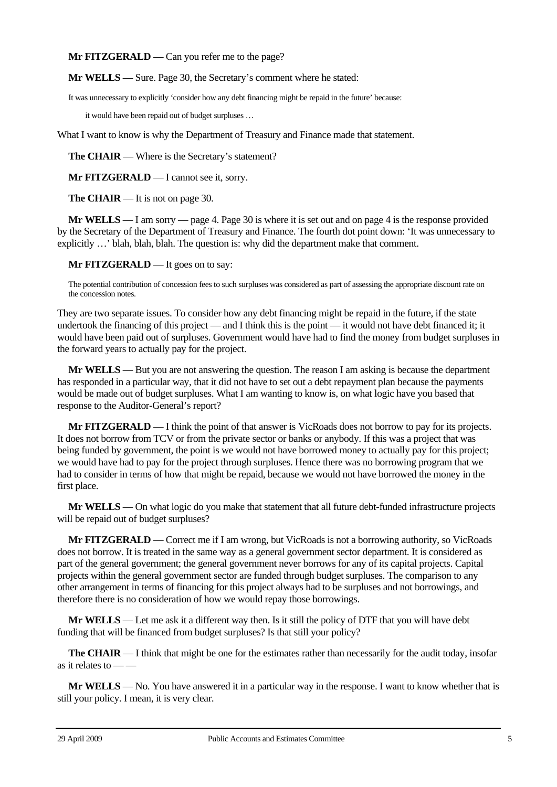**Mr FITZGERALD** — Can you refer me to the page?

**Mr WELLS** — Sure. Page 30, the Secretary's comment where he stated:

It was unnecessary to explicitly 'consider how any debt financing might be repaid in the future' because:

it would have been repaid out of budget surpluses …

What I want to know is why the Department of Treasury and Finance made that statement.

**The CHAIR** — Where is the Secretary's statement?

**Mr FITZGERALD** — I cannot see it, sorry.

**The CHAIR** — It is not on page 30.

**Mr WELLS** — I am sorry — page 4. Page 30 is where it is set out and on page 4 is the response provided by the Secretary of the Department of Treasury and Finance. The fourth dot point down: 'It was unnecessary to explicitly …' blah, blah, blah. The question is: why did the department make that comment.

**Mr FITZGERALD** — It goes on to say:

The potential contribution of concession fees to such surpluses was considered as part of assessing the appropriate discount rate on the concession notes.

They are two separate issues. To consider how any debt financing might be repaid in the future, if the state undertook the financing of this project — and I think this is the point — it would not have debt financed it; it would have been paid out of surpluses. Government would have had to find the money from budget surpluses in the forward years to actually pay for the project.

**Mr WELLS** — But you are not answering the question. The reason I am asking is because the department has responded in a particular way, that it did not have to set out a debt repayment plan because the payments would be made out of budget surpluses. What I am wanting to know is, on what logic have you based that response to the Auditor-General's report?

**Mr FITZGERALD** — I think the point of that answer is VicRoads does not borrow to pay for its projects. It does not borrow from TCV or from the private sector or banks or anybody. If this was a project that was being funded by government, the point is we would not have borrowed money to actually pay for this project; we would have had to pay for the project through surpluses. Hence there was no borrowing program that we had to consider in terms of how that might be repaid, because we would not have borrowed the money in the first place.

**Mr WELLS** — On what logic do you make that statement that all future debt-funded infrastructure projects will be repaid out of budget surpluses?

**Mr FITZGERALD** — Correct me if I am wrong, but VicRoads is not a borrowing authority, so VicRoads does not borrow. It is treated in the same way as a general government sector department. It is considered as part of the general government; the general government never borrows for any of its capital projects. Capital projects within the general government sector are funded through budget surpluses. The comparison to any other arrangement in terms of financing for this project always had to be surpluses and not borrowings, and therefore there is no consideration of how we would repay those borrowings.

**Mr WELLS** — Let me ask it a different way then. Is it still the policy of DTF that you will have debt funding that will be financed from budget surpluses? Is that still your policy?

**The CHAIR** — I think that might be one for the estimates rather than necessarily for the audit today, insofar as it relates to  $-\frac{1}{x}$ 

**Mr WELLS** — No. You have answered it in a particular way in the response. I want to know whether that is still your policy. I mean, it is very clear.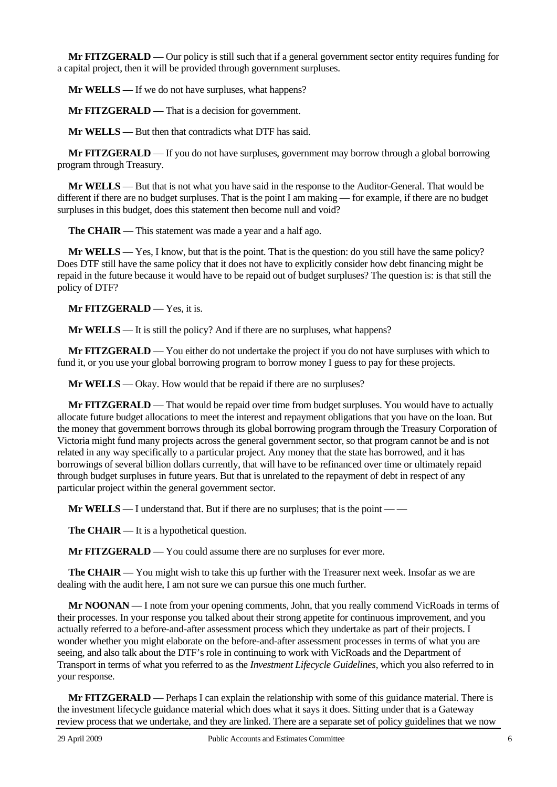**Mr FITZGERALD** — Our policy is still such that if a general government sector entity requires funding for a capital project, then it will be provided through government surpluses.

**Mr WELLS** — If we do not have surpluses, what happens?

**Mr FITZGERALD** — That is a decision for government.

**Mr WELLS** — But then that contradicts what DTF has said.

**Mr FITZGERALD** — If you do not have surpluses, government may borrow through a global borrowing program through Treasury.

**Mr WELLS** — But that is not what you have said in the response to the Auditor-General. That would be different if there are no budget surpluses. That is the point I am making — for example, if there are no budget surpluses in this budget, does this statement then become null and void?

**The CHAIR** — This statement was made a year and a half ago.

**Mr WELLS** — Yes, I know, but that is the point. That is the question: do you still have the same policy? Does DTF still have the same policy that it does not have to explicitly consider how debt financing might be repaid in the future because it would have to be repaid out of budget surpluses? The question is: is that still the policy of DTF?

**Mr FITZGERALD** — Yes, it is.

**Mr WELLS** — It is still the policy? And if there are no surpluses, what happens?

**Mr FITZGERALD** — You either do not undertake the project if you do not have surpluses with which to fund it, or you use your global borrowing program to borrow money I guess to pay for these projects.

**Mr WELLS** — Okay. How would that be repaid if there are no surpluses?

**Mr FITZGERALD** — That would be repaid over time from budget surpluses. You would have to actually allocate future budget allocations to meet the interest and repayment obligations that you have on the loan. But the money that government borrows through its global borrowing program through the Treasury Corporation of Victoria might fund many projects across the general government sector, so that program cannot be and is not related in any way specifically to a particular project. Any money that the state has borrowed, and it has borrowings of several billion dollars currently, that will have to be refinanced over time or ultimately repaid through budget surpluses in future years. But that is unrelated to the repayment of debt in respect of any particular project within the general government sector.

**Mr WELLS** — I understand that. But if there are no surpluses; that is the point — —

**The CHAIR** — It is a hypothetical question.

**Mr FITZGERALD** — You could assume there are no surpluses for ever more.

**The CHAIR** — You might wish to take this up further with the Treasurer next week. Insofar as we are dealing with the audit here, I am not sure we can pursue this one much further.

**Mr NOONAN** — I note from your opening comments, John, that you really commend VicRoads in terms of their processes. In your response you talked about their strong appetite for continuous improvement, and you actually referred to a before-and-after assessment process which they undertake as part of their projects. I wonder whether you might elaborate on the before-and-after assessment processes in terms of what you are seeing, and also talk about the DTF's role in continuing to work with VicRoads and the Department of Transport in terms of what you referred to as the *Investment Lifecycle Guidelines*, which you also referred to in your response.

**Mr FITZGERALD** — Perhaps I can explain the relationship with some of this guidance material. There is the investment lifecycle guidance material which does what it says it does. Sitting under that is a Gateway review process that we undertake, and they are linked. There are a separate set of policy guidelines that we now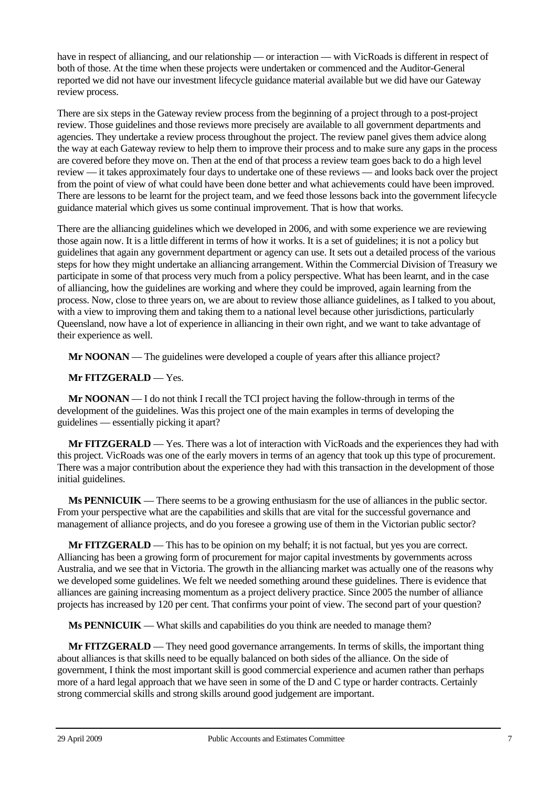have in respect of alliancing, and our relationship — or interaction — with VicRoads is different in respect of both of those. At the time when these projects were undertaken or commenced and the Auditor-General reported we did not have our investment lifecycle guidance material available but we did have our Gateway review process.

There are six steps in the Gateway review process from the beginning of a project through to a post-project review. Those guidelines and those reviews more precisely are available to all government departments and agencies. They undertake a review process throughout the project. The review panel gives them advice along the way at each Gateway review to help them to improve their process and to make sure any gaps in the process are covered before they move on. Then at the end of that process a review team goes back to do a high level review — it takes approximately four days to undertake one of these reviews — and looks back over the project from the point of view of what could have been done better and what achievements could have been improved. There are lessons to be learnt for the project team, and we feed those lessons back into the government lifecycle guidance material which gives us some continual improvement. That is how that works.

There are the alliancing guidelines which we developed in 2006, and with some experience we are reviewing those again now. It is a little different in terms of how it works. It is a set of guidelines; it is not a policy but guidelines that again any government department or agency can use. It sets out a detailed process of the various steps for how they might undertake an alliancing arrangement. Within the Commercial Division of Treasury we participate in some of that process very much from a policy perspective. What has been learnt, and in the case of alliancing, how the guidelines are working and where they could be improved, again learning from the process. Now, close to three years on, we are about to review those alliance guidelines, as I talked to you about, with a view to improving them and taking them to a national level because other jurisdictions, particularly Queensland, now have a lot of experience in alliancing in their own right, and we want to take advantage of their experience as well.

**Mr NOONAN** — The guidelines were developed a couple of years after this alliance project?

## **Mr FITZGERALD** — Yes.

**Mr NOONAN** — I do not think I recall the TCI project having the follow-through in terms of the development of the guidelines. Was this project one of the main examples in terms of developing the guidelines — essentially picking it apart?

**Mr FITZGERALD** — Yes. There was a lot of interaction with VicRoads and the experiences they had with this project. VicRoads was one of the early movers in terms of an agency that took up this type of procurement. There was a major contribution about the experience they had with this transaction in the development of those initial guidelines.

**Ms PENNICUIK** — There seems to be a growing enthusiasm for the use of alliances in the public sector. From your perspective what are the capabilities and skills that are vital for the successful governance and management of alliance projects, and do you foresee a growing use of them in the Victorian public sector?

**Mr FITZGERALD** — This has to be opinion on my behalf; it is not factual, but yes you are correct. Alliancing has been a growing form of procurement for major capital investments by governments across Australia, and we see that in Victoria. The growth in the alliancing market was actually one of the reasons why we developed some guidelines. We felt we needed something around these guidelines. There is evidence that alliances are gaining increasing momentum as a project delivery practice. Since 2005 the number of alliance projects has increased by 120 per cent. That confirms your point of view. The second part of your question?

**Ms PENNICUIK** — What skills and capabilities do you think are needed to manage them?

**Mr FITZGERALD** — They need good governance arrangements. In terms of skills, the important thing about alliances is that skills need to be equally balanced on both sides of the alliance. On the side of government, I think the most important skill is good commercial experience and acumen rather than perhaps more of a hard legal approach that we have seen in some of the D and C type or harder contracts. Certainly strong commercial skills and strong skills around good judgement are important.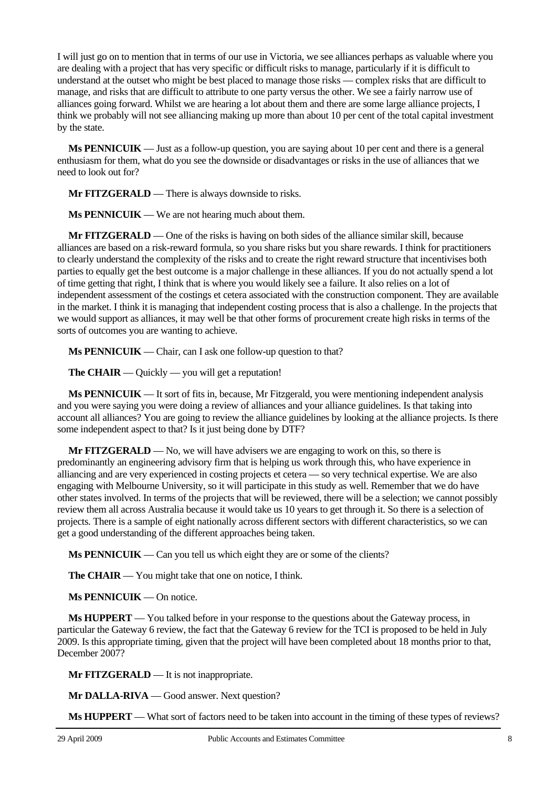I will just go on to mention that in terms of our use in Victoria, we see alliances perhaps as valuable where you are dealing with a project that has very specific or difficult risks to manage, particularly if it is difficult to understand at the outset who might be best placed to manage those risks — complex risks that are difficult to manage, and risks that are difficult to attribute to one party versus the other. We see a fairly narrow use of alliances going forward. Whilst we are hearing a lot about them and there are some large alliance projects, I think we probably will not see alliancing making up more than about 10 per cent of the total capital investment by the state.

**Ms PENNICUIK** — Just as a follow-up question, you are saying about 10 per cent and there is a general enthusiasm for them, what do you see the downside or disadvantages or risks in the use of alliances that we need to look out for?

**Mr FITZGERALD** — There is always downside to risks.

**Ms PENNICUIK** — We are not hearing much about them.

**Mr FITZGERALD** — One of the risks is having on both sides of the alliance similar skill, because alliances are based on a risk-reward formula, so you share risks but you share rewards. I think for practitioners to clearly understand the complexity of the risks and to create the right reward structure that incentivises both parties to equally get the best outcome is a major challenge in these alliances. If you do not actually spend a lot of time getting that right, I think that is where you would likely see a failure. It also relies on a lot of independent assessment of the costings et cetera associated with the construction component. They are available in the market. I think it is managing that independent costing process that is also a challenge. In the projects that we would support as alliances, it may well be that other forms of procurement create high risks in terms of the sorts of outcomes you are wanting to achieve.

**Ms PENNICUIK** — Chair, can I ask one follow-up question to that?

**The CHAIR** — Quickly — you will get a reputation!

**Ms PENNICUIK** — It sort of fits in, because, Mr Fitzgerald, you were mentioning independent analysis and you were saying you were doing a review of alliances and your alliance guidelines. Is that taking into account all alliances? You are going to review the alliance guidelines by looking at the alliance projects. Is there some independent aspect to that? Is it just being done by DTF?

**Mr FITZGERALD** — No, we will have advisers we are engaging to work on this, so there is predominantly an engineering advisory firm that is helping us work through this, who have experience in alliancing and are very experienced in costing projects et cetera — so very technical expertise. We are also engaging with Melbourne University, so it will participate in this study as well. Remember that we do have other states involved. In terms of the projects that will be reviewed, there will be a selection; we cannot possibly review them all across Australia because it would take us 10 years to get through it. So there is a selection of projects. There is a sample of eight nationally across different sectors with different characteristics, so we can get a good understanding of the different approaches being taken.

**Ms PENNICUIK** — Can you tell us which eight they are or some of the clients?

**The CHAIR** — You might take that one on notice, I think.

**Ms PENNICUIK** — On notice.

**Ms HUPPERT** — You talked before in your response to the questions about the Gateway process, in particular the Gateway 6 review, the fact that the Gateway 6 review for the TCI is proposed to be held in July 2009. Is this appropriate timing, given that the project will have been completed about 18 months prior to that, December 2007?

**Mr FITZGERALD** — It is not inappropriate.

**Mr DALLA-RIVA** — Good answer. Next question?

**Ms HUPPERT** — What sort of factors need to be taken into account in the timing of these types of reviews?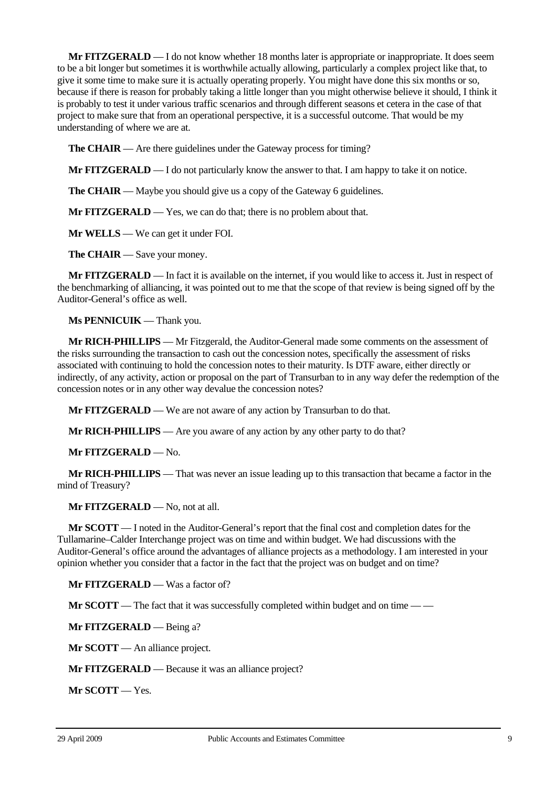**Mr FITZGERALD** — I do not know whether 18 months later is appropriate or inappropriate. It does seem to be a bit longer but sometimes it is worthwhile actually allowing, particularly a complex project like that, to give it some time to make sure it is actually operating properly. You might have done this six months or so, because if there is reason for probably taking a little longer than you might otherwise believe it should, I think it is probably to test it under various traffic scenarios and through different seasons et cetera in the case of that project to make sure that from an operational perspective, it is a successful outcome. That would be my understanding of where we are at.

**The CHAIR** — Are there guidelines under the Gateway process for timing?

**Mr FITZGERALD** — I do not particularly know the answer to that. I am happy to take it on notice.

**The CHAIR** — Maybe you should give us a copy of the Gateway 6 guidelines.

**Mr FITZGERALD** — Yes, we can do that; there is no problem about that.

**Mr WELLS** — We can get it under FOI.

**The CHAIR** — Save your money.

**Mr FITZGERALD** — In fact it is available on the internet, if you would like to access it. Just in respect of the benchmarking of alliancing, it was pointed out to me that the scope of that review is being signed off by the Auditor-General's office as well.

**Ms PENNICUIK** — Thank you.

**Mr RICH-PHILLIPS** — Mr Fitzgerald, the Auditor-General made some comments on the assessment of the risks surrounding the transaction to cash out the concession notes, specifically the assessment of risks associated with continuing to hold the concession notes to their maturity. Is DTF aware, either directly or indirectly, of any activity, action or proposal on the part of Transurban to in any way defer the redemption of the concession notes or in any other way devalue the concession notes?

**Mr FITZGERALD** — We are not aware of any action by Transurban to do that.

**Mr RICH-PHILLIPS** — Are you aware of any action by any other party to do that?

**Mr FITZGERALD** — No.

**Mr RICH-PHILLIPS** — That was never an issue leading up to this transaction that became a factor in the mind of Treasury?

**Mr FITZGERALD** — No, not at all.

**Mr SCOTT** — I noted in the Auditor-General's report that the final cost and completion dates for the Tullamarine–Calder Interchange project was on time and within budget. We had discussions with the Auditor-General's office around the advantages of alliance projects as a methodology. I am interested in your opinion whether you consider that a factor in the fact that the project was on budget and on time?

**Mr FITZGERALD** — Was a factor of?

**Mr SCOTT** — The fact that it was successfully completed within budget and on time — —

**Mr FITZGERALD** — Being a?

**Mr SCOTT** — An alliance project.

**Mr FITZGERALD** — Because it was an alliance project?

**Mr SCOTT** — Yes.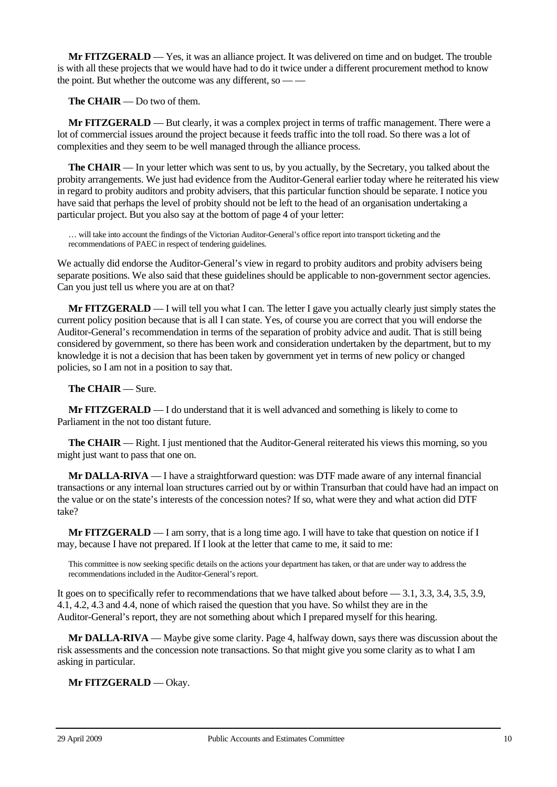**Mr FITZGERALD** — Yes, it was an alliance project. It was delivered on time and on budget. The trouble is with all these projects that we would have had to do it twice under a different procurement method to know the point. But whether the outcome was any different, so — —

**The CHAIR** — Do two of them.

**Mr FITZGERALD** — But clearly, it was a complex project in terms of traffic management. There were a lot of commercial issues around the project because it feeds traffic into the toll road. So there was a lot of complexities and they seem to be well managed through the alliance process.

**The CHAIR** — In your letter which was sent to us, by you actually, by the Secretary, you talked about the probity arrangements. We just had evidence from the Auditor-General earlier today where he reiterated his view in regard to probity auditors and probity advisers, that this particular function should be separate. I notice you have said that perhaps the level of probity should not be left to the head of an organisation undertaking a particular project. But you also say at the bottom of page 4 of your letter:

… will take into account the findings of the Victorian Auditor-General's office report into transport ticketing and the recommendations of PAEC in respect of tendering guidelines.

We actually did endorse the Auditor-General's view in regard to probity auditors and probity advisers being separate positions. We also said that these guidelines should be applicable to non-government sector agencies. Can you just tell us where you are at on that?

**Mr FITZGERALD** — I will tell you what I can. The letter I gave you actually clearly just simply states the current policy position because that is all I can state. Yes, of course you are correct that you will endorse the Auditor-General's recommendation in terms of the separation of probity advice and audit. That is still being considered by government, so there has been work and consideration undertaken by the department, but to my knowledge it is not a decision that has been taken by government yet in terms of new policy or changed policies, so I am not in a position to say that.

### **The CHAIR** — Sure.

**Mr FITZGERALD** — I do understand that it is well advanced and something is likely to come to Parliament in the not too distant future.

**The CHAIR** — Right. I just mentioned that the Auditor-General reiterated his views this morning, so you might just want to pass that one on.

**Mr DALLA-RIVA** — I have a straightforward question: was DTF made aware of any internal financial transactions or any internal loan structures carried out by or within Transurban that could have had an impact on the value or on the state's interests of the concession notes? If so, what were they and what action did DTF take?

**Mr FITZGERALD** — I am sorry, that is a long time ago. I will have to take that question on notice if I may, because I have not prepared. If I look at the letter that came to me, it said to me:

This committee is now seeking specific details on the actions your department has taken, or that are under way to address the recommendations included in the Auditor-General's report.

It goes on to specifically refer to recommendations that we have talked about before — 3.1, 3.3, 3.4, 3.5, 3.9, 4.1, 4.2, 4.3 and 4.4, none of which raised the question that you have. So whilst they are in the Auditor-General's report, they are not something about which I prepared myself for this hearing.

**Mr DALLA-RIVA** — Maybe give some clarity. Page 4, halfway down, says there was discussion about the risk assessments and the concession note transactions. So that might give you some clarity as to what I am asking in particular.

**Mr FITZGERALD** — Okay.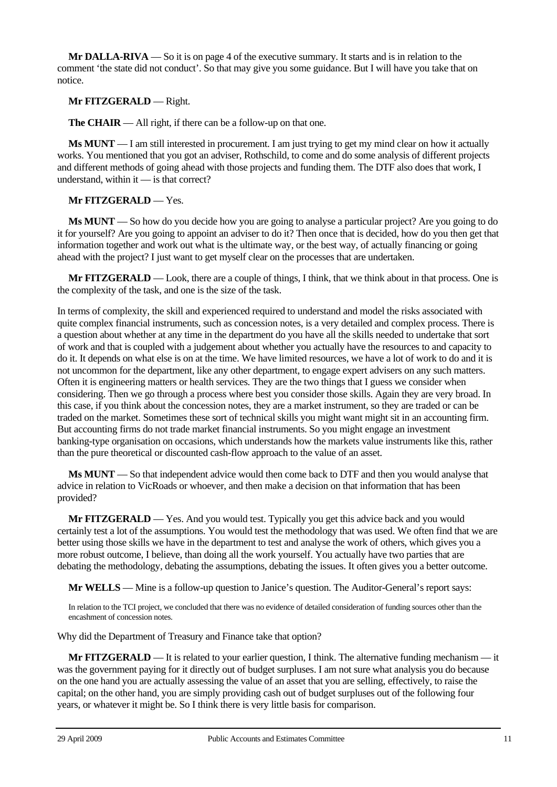**Mr DALLA-RIVA** — So it is on page 4 of the executive summary. It starts and is in relation to the comment 'the state did not conduct'. So that may give you some guidance. But I will have you take that on notice.

### **Mr FITZGERALD** — Right.

**The CHAIR** — All right, if there can be a follow-up on that one.

**Ms MUNT** — I am still interested in procurement. I am just trying to get my mind clear on how it actually works. You mentioned that you got an adviser, Rothschild, to come and do some analysis of different projects and different methods of going ahead with those projects and funding them. The DTF also does that work, I understand, within it — is that correct?

## **Mr FITZGERALD** — Yes.

**Ms MUNT** — So how do you decide how you are going to analyse a particular project? Are you going to do it for yourself? Are you going to appoint an adviser to do it? Then once that is decided, how do you then get that information together and work out what is the ultimate way, or the best way, of actually financing or going ahead with the project? I just want to get myself clear on the processes that are undertaken.

**Mr FITZGERALD** — Look, there are a couple of things, I think, that we think about in that process. One is the complexity of the task, and one is the size of the task.

In terms of complexity, the skill and experienced required to understand and model the risks associated with quite complex financial instruments, such as concession notes, is a very detailed and complex process. There is a question about whether at any time in the department do you have all the skills needed to undertake that sort of work and that is coupled with a judgement about whether you actually have the resources to and capacity to do it. It depends on what else is on at the time. We have limited resources, we have a lot of work to do and it is not uncommon for the department, like any other department, to engage expert advisers on any such matters. Often it is engineering matters or health services. They are the two things that I guess we consider when considering. Then we go through a process where best you consider those skills. Again they are very broad. In this case, if you think about the concession notes, they are a market instrument, so they are traded or can be traded on the market. Sometimes these sort of technical skills you might want might sit in an accounting firm. But accounting firms do not trade market financial instruments. So you might engage an investment banking-type organisation on occasions, which understands how the markets value instruments like this, rather than the pure theoretical or discounted cash-flow approach to the value of an asset.

**Ms MUNT** — So that independent advice would then come back to DTF and then you would analyse that advice in relation to VicRoads or whoever, and then make a decision on that information that has been provided?

**Mr FITZGERALD** — Yes. And you would test. Typically you get this advice back and you would certainly test a lot of the assumptions. You would test the methodology that was used. We often find that we are better using those skills we have in the department to test and analyse the work of others, which gives you a more robust outcome, I believe, than doing all the work yourself. You actually have two parties that are debating the methodology, debating the assumptions, debating the issues. It often gives you a better outcome.

**Mr WELLS** — Mine is a follow-up question to Janice's question. The Auditor-General's report says:

In relation to the TCI project, we concluded that there was no evidence of detailed consideration of funding sources other than the encashment of concession notes.

Why did the Department of Treasury and Finance take that option?

**Mr FITZGERALD** — It is related to your earlier question, I think. The alternative funding mechanism — it was the government paying for it directly out of budget surpluses. I am not sure what analysis you do because on the one hand you are actually assessing the value of an asset that you are selling, effectively, to raise the capital; on the other hand, you are simply providing cash out of budget surpluses out of the following four years, or whatever it might be. So I think there is very little basis for comparison.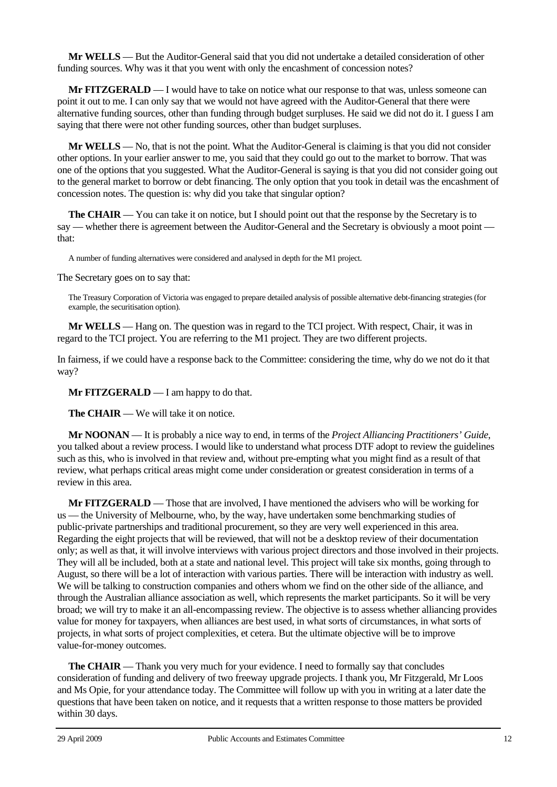**Mr WELLS** — But the Auditor-General said that you did not undertake a detailed consideration of other funding sources. Why was it that you went with only the encashment of concession notes?

**Mr FITZGERALD** — I would have to take on notice what our response to that was, unless someone can point it out to me. I can only say that we would not have agreed with the Auditor-General that there were alternative funding sources, other than funding through budget surpluses. He said we did not do it. I guess I am saying that there were not other funding sources, other than budget surpluses.

**Mr WELLS** — No, that is not the point. What the Auditor-General is claiming is that you did not consider other options. In your earlier answer to me, you said that they could go out to the market to borrow. That was one of the options that you suggested. What the Auditor-General is saying is that you did not consider going out to the general market to borrow or debt financing. The only option that you took in detail was the encashment of concession notes. The question is: why did you take that singular option?

**The CHAIR** — You can take it on notice, but I should point out that the response by the Secretary is to say — whether there is agreement between the Auditor-General and the Secretary is obviously a moot point that:

A number of funding alternatives were considered and analysed in depth for the M1 project.

The Secretary goes on to say that:

The Treasury Corporation of Victoria was engaged to prepare detailed analysis of possible alternative debt-financing strategies (for example, the securitisation option).

**Mr WELLS** — Hang on. The question was in regard to the TCI project. With respect, Chair, it was in regard to the TCI project. You are referring to the M1 project. They are two different projects.

In fairness, if we could have a response back to the Committee: considering the time, why do we not do it that way?

**Mr FITZGERALD** — I am happy to do that.

**The CHAIR** — We will take it on notice.

**Mr NOONAN** — It is probably a nice way to end, in terms of the *Project Alliancing Practitioners' Guide*, you talked about a review process. I would like to understand what process DTF adopt to review the guidelines such as this, who is involved in that review and, without pre-empting what you might find as a result of that review, what perhaps critical areas might come under consideration or greatest consideration in terms of a review in this area.

**Mr FITZGERALD** — Those that are involved, I have mentioned the advisers who will be working for us — the University of Melbourne, who, by the way, have undertaken some benchmarking studies of public-private partnerships and traditional procurement, so they are very well experienced in this area. Regarding the eight projects that will be reviewed, that will not be a desktop review of their documentation only; as well as that, it will involve interviews with various project directors and those involved in their projects. They will all be included, both at a state and national level. This project will take six months, going through to August, so there will be a lot of interaction with various parties. There will be interaction with industry as well. We will be talking to construction companies and others whom we find on the other side of the alliance, and through the Australian alliance association as well, which represents the market participants. So it will be very broad; we will try to make it an all-encompassing review. The objective is to assess whether alliancing provides value for money for taxpayers, when alliances are best used, in what sorts of circumstances, in what sorts of projects, in what sorts of project complexities, et cetera. But the ultimate objective will be to improve value-for-money outcomes.

**The CHAIR** — Thank you very much for your evidence. I need to formally say that concludes consideration of funding and delivery of two freeway upgrade projects. I thank you, Mr Fitzgerald, Mr Loos and Ms Opie, for your attendance today. The Committee will follow up with you in writing at a later date the questions that have been taken on notice, and it requests that a written response to those matters be provided within 30 days.